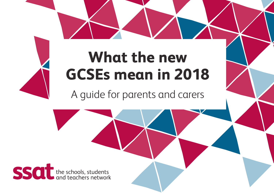# **What the new GCSEs mean in 2018**

A guide for parents and carers

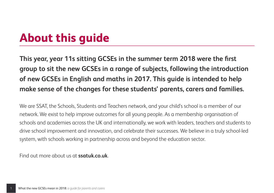## **About this guide**

**This year, year 11s sitting GCSEs in the summer term 2018 were the first group to sit the new GCSEs in a range of subjects, following the introduction of new GCSEs in English and maths in 2017. This guide is intended to help make sense of the changes for these students' parents, carers and families.**

We are SSAT, the Schools, Students and Teachers network, and your child's school is a member of our network. We exist to help improve outcomes for all young people. As a membership organisation of schools and academies across the UK and internationally, we work with leaders, teachers and students to drive school improvement and innovation, and celebrate their successes. We believe in a truly school-led system, with schools working in partnership across and beyond the education sector.

Find out more about us at **ssatuk.co.uk**.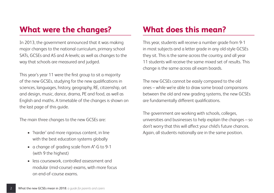## **What were the changes?**

In 2013, the government announced that it was making major changes to the national curriculum, primary school SATs, GCSEs and AS and A-levels; as well as changes to the way that schools are measured and judged.

This year's year 11 were the first group to sit a majority of the new GCSEs, studying for the new qualifications in sciences, languages, history, geography, RE, citizenship, art and design, music, dance, drama, PE and food, as well as English and maths. A timetable of the changes is shown on the last page of this guide.

The main three changes to the new GCSEs are:

- 'harder' and more rigorous content, in line with the best education systems globally
- a change of grading scale from A\*-G to 9-1 (with 9 the highest)
- less coursework, controlled assessment and modular (mid-course) exams, with more focus on end-of-course exams.

## **What does this mean?**

This year, students will receive a number grade from 9-1 in most subjects and a letter grade in any old-style GCSEs they sit. This is the same across the country, and all year 11 students will receive the same mixed set of results. This change is the same across all exam boards.

The new GCSEs cannot be easily compared to the old ones – while we're able to draw some broad comparisons between the old and new grading systems, the new GCSEs are fundamentally different qualifications.

The government are working with schools, colleges, universities and businesses to help explain the changes – so don't worry that this will affect your child's future chances. Again, all students nationally are in the same position.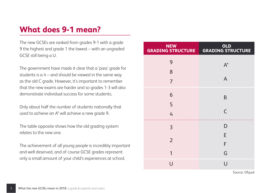## **What does 9-1 mean?**

The new GCSEs are ranked from grades 9-1 with a grade 9 the highest and grade 1 the lowest – with an ungraded GCSE still being a U.

The government have made it clear that a 'pass' grade for students is  $a 4 -$  and should be viewed in the same way as the old C grade. However, it's important to remember that the new exams are harder and so grades 1-3 will also demonstrate individual success for some students.

Only about half the number of students nationally that used to achieve an A\* will achieve a new grade 9.

The table opposite shows how the old grading system relates to the new one.

The achievement of all young people is incredibly important and well deserved, and of course GCSE grades represent only a small amount of your child's experiences at school.

| <b>NEW</b><br><b>GRADING STRUCTURE</b> | OLD<br>GRADING STRUCTURE |
|----------------------------------------|--------------------------|
| 9                                      | $A^*$                    |
| 8                                      |                          |
| $\overline{7}$                         | A                        |
| 6                                      | B                        |
| 5                                      |                          |
| $\mathcal{L}_{\mathsf{I}}$             | $\mathsf{C}$             |
| 3                                      | D                        |
|                                        | E                        |
| $\overline{2}$                         | F                        |
| 1                                      | G                        |
| U                                      | U                        |

Source: Ofgual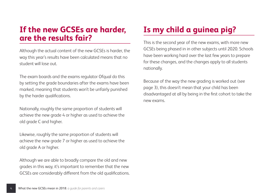## **If the new GCSEs are harder, are the results fair?**

Although the actual content of the new GCSEs is harder, the way this year's results have been calculated means that no student will lose out.

The exam boards and the exams regulator Ofqual do this by setting the grade boundaries after the exams have been marked, meaning that students won't be unfairly punished by the harder qualifications.

Nationally, roughly the same proportion of students will achieve the new grade 4 or higher as used to achieve the old grade C and higher.

Likewise, roughly the same proportion of students will achieve the new grade 7 or higher as used to achieve the old grade A or higher.

Although we are able to broadly compare the old and new grades in this way, it's important to remember that the new GCSEs are considerably different from the old qualifications.

## **Is my child a guinea pig?**

This is the second year of the new exams, with more new GCSEs being phased in in other subjects until 2020. Schools have been working hard over the last few years to prepare for these changes, and the changes apply to all students nationally.

Because of the way the new grading is worked out (see page 3), this doesn't mean that your child has been disadvantaged at all by being in the first cohort to take the new exams.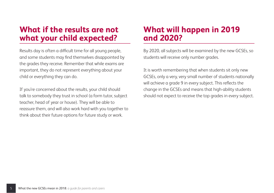## **What if the results are not what your child expected?**

Results day is often a difficult time for all young people, and some students may find themselves disappointed by the grades they receive. Remember that while exams are important, they do not represent everything about your child or everything they can do.

If you're concerned about the results, your child should talk to somebody they trust in school (a form tutor, subject teacher, head of year or house). They will be able to reassure them, and will also work hard with you together to think about their future options for future study or work.

## **What will happen in 2019 and 2020?**

By 2020, all subjects will be examined by the new GCSEs, so students will receive only number grades.

It is worth remembering that when students sit only new GCSEs, only a very, very small number of students nationally will achieve a grade 9 in every subject. This reflects the change in the GCSEs and means that high-ability students should not expect to receive the top grades in every subject.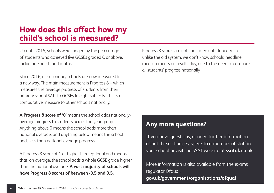## **How does this affect how my child's school is measured?**

Up until 2015, schools were judged by the percentage of students who achieved five GCSEs graded C or above, including English and maths.

Since 2016, all secondary schools are now measured in a new way. The main measurement is Progress 8 – which measures the average progress of students from their primary school SATs to GCSEs in eight subjects. This is a comparative measure to other schools nationally.

**A Progress 8 score of '0'** means the school adds nationallyaverage progress to students across the year group. Anything above 0 means the school adds more than national average, and anything below means the school adds less than national average progress.

A Progress 8 score of 1 or higher is exceptional and means that, on average, the school adds a whole GCSE grade higher than the national average. **A vast majority of schools will have Progress 8 scores of between -0.5 and 0.5.**

Progress 8 scores are not confirmed until January, so unlike the old system, we don't know schools' headline measurements on results day, due to the need to compare all students' progress nationally.

#### **Any more questions?**

If you have questions, or need further information about these changes, speak to a member of staff in your school or visit the SSAT website at **ssatuk.co.uk**.

More information is also available from the exams regulator Ofqual. **gov.uk/government/organisations/ofqual**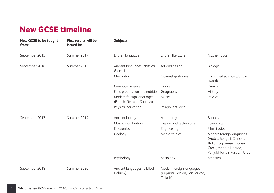## **New GCSE timeline**

| New GCSE to be taught<br>from: | First results will be<br>issued in: | <b>Subjects</b>                                       |                                                                         |                                                                                                                                                 |
|--------------------------------|-------------------------------------|-------------------------------------------------------|-------------------------------------------------------------------------|-------------------------------------------------------------------------------------------------------------------------------------------------|
| September 2015                 | Summer 2017                         | English language                                      | English literature                                                      | Mathematics                                                                                                                                     |
| September 2016                 | Summer 2018                         | Ancient languages (classical<br>Greek. Latin)         | Art and design                                                          | Biology                                                                                                                                         |
|                                |                                     | Chemistry                                             | Citizenship studies                                                     | Combined science (double<br>award)                                                                                                              |
|                                |                                     | Computer science                                      | Dance                                                                   | Drama                                                                                                                                           |
|                                |                                     | Food preparation and nutrition Geography              |                                                                         | History                                                                                                                                         |
|                                |                                     | Modern foreign languages<br>(French, German, Spanish) | Music                                                                   | Physics                                                                                                                                         |
|                                |                                     | Physical education                                    | Religious studies                                                       |                                                                                                                                                 |
| September 2017                 | Summer 2019                         | Ancient history                                       | Astronomy                                                               | <b>Business</b>                                                                                                                                 |
|                                |                                     | Classical civilisation                                | Design and technology                                                   | Economics                                                                                                                                       |
|                                |                                     | Electronics                                           | Engineering                                                             | Film studies                                                                                                                                    |
|                                |                                     | Geology                                               | Media studies                                                           | Modern foreign languages<br>(Arabic, Bengali, Chinese,<br>Italian, Japanese, modern<br>Greek, modern Hebrew.<br>Panjabi, Polish, Russian, Urdu) |
|                                |                                     | Psychology                                            | Sociology                                                               | <b>Statistics</b>                                                                                                                               |
| September 2018                 | Summer 2020                         | Ancient languages (biblical<br>Hebrew)                | Modern foreign languages<br>(Gujarati, Persian, Portuguese,<br>Turkish) |                                                                                                                                                 |